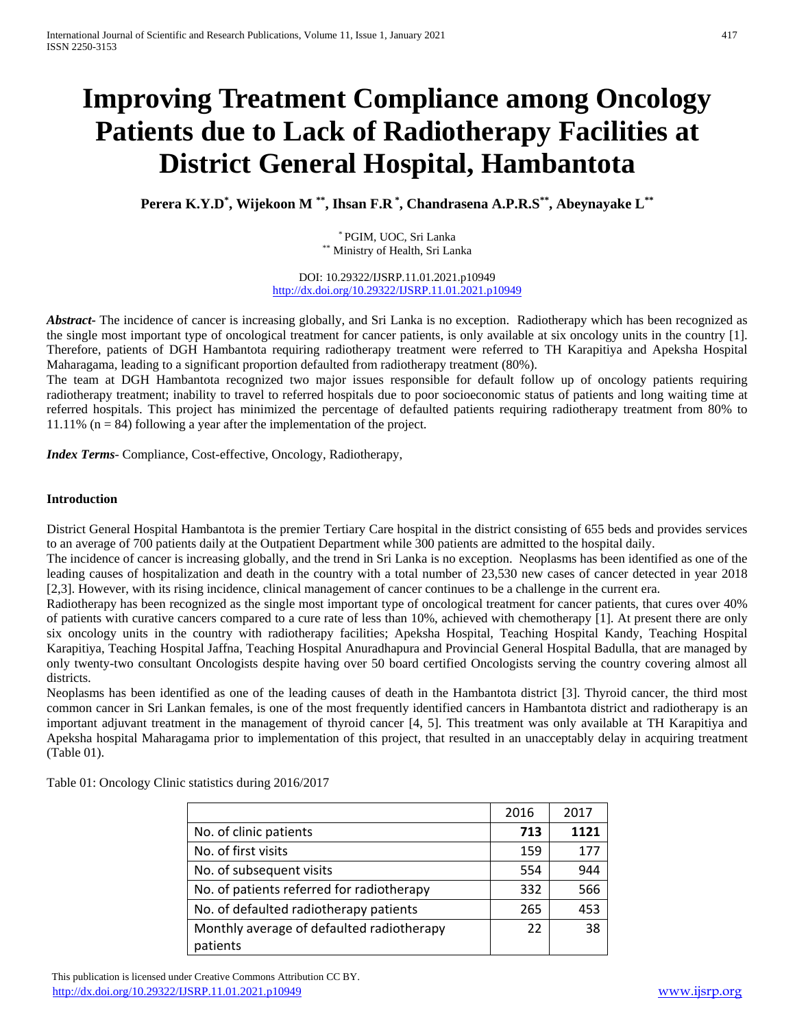# **Improving Treatment Compliance among Oncology Patients due to Lack of Radiotherapy Facilities at District General Hospital, Hambantota**

**Perera K.Y.D\* , Wijekoon M \*\* , Ihsan F.R \* , Chandrasena A.P.R.S\*\* , Abeynayake L\*\***

\* PGIM, UOC, Sri Lanka \*\* Ministry of Health, Sri Lanka

DOI: 10.29322/IJSRP.11.01.2021.p10949 <http://dx.doi.org/10.29322/IJSRP.11.01.2021.p10949>

*Abstract***-** The incidence of cancer is increasing globally, and Sri Lanka is no exception. Radiotherapy which has been recognized as the single most important type of oncological treatment for cancer patients, is only available at six oncology units in the country [1]. Therefore, patients of DGH Hambantota requiring radiotherapy treatment were referred to TH Karapitiya and Apeksha Hospital Maharagama, leading to a significant proportion defaulted from radiotherapy treatment (80%).

The team at DGH Hambantota recognized two major issues responsible for default follow up of oncology patients requiring radiotherapy treatment; inability to travel to referred hospitals due to poor socioeconomic status of patients and long waiting time at referred hospitals. This project has minimized the percentage of defaulted patients requiring radiotherapy treatment from 80% to 11.11% ( $n = 84$ ) following a year after the implementation of the project.

*Index Terms*- Compliance, Cost-effective, Oncology, Radiotherapy,

#### **Introduction**

District General Hospital Hambantota is the premier Tertiary Care hospital in the district consisting of 655 beds and provides services to an average of 700 patients daily at the Outpatient Department while 300 patients are admitted to the hospital daily.

The incidence of cancer is increasing globally, and the trend in Sri Lanka is no exception. Neoplasms has been identified as one of the leading causes of hospitalization and death in the country with a total number of 23,530 new cases of cancer detected in year 2018 [2,3]. However, with its rising incidence, clinical management of cancer continues to be a challenge in the current era.

Radiotherapy has been recognized as the single most important type of oncological treatment for cancer patients, that cures over 40% of patients with curative cancers compared to a cure rate of less than 10%, achieved with chemotherapy [1]. At present there are only six oncology units in the country with radiotherapy facilities; Apeksha Hospital, Teaching Hospital Kandy, Teaching Hospital Karapitiya, Teaching Hospital Jaffna, Teaching Hospital Anuradhapura and Provincial General Hospital Badulla, that are managed by only twenty-two consultant Oncologists despite having over 50 board certified Oncologists serving the country covering almost all districts.

Neoplasms has been identified as one of the leading causes of death in the Hambantota district [3]. Thyroid cancer, the third most common cancer in Sri Lankan females, is one of the most frequently identified cancers in Hambantota district and radiotherapy is an important adjuvant treatment in the management of thyroid cancer [4, 5]. This treatment was only available at TH Karapitiya and Apeksha hospital Maharagama prior to implementation of this project, that resulted in an unacceptably delay in acquiring treatment (Table 01).

|                                           | 2016 | 2017 |
|-------------------------------------------|------|------|
| No. of clinic patients                    | 713  | 1121 |
| No. of first visits                       | 159  | 177  |
| No. of subsequent visits                  | 554  | 944  |
| No. of patients referred for radiotherapy | 332  | 566  |
| No. of defaulted radiotherapy patients    | 265  | 453  |
| Monthly average of defaulted radiotherapy | 22   | 38   |
| patients                                  |      |      |

Table 01: Oncology Clinic statistics during 2016/2017

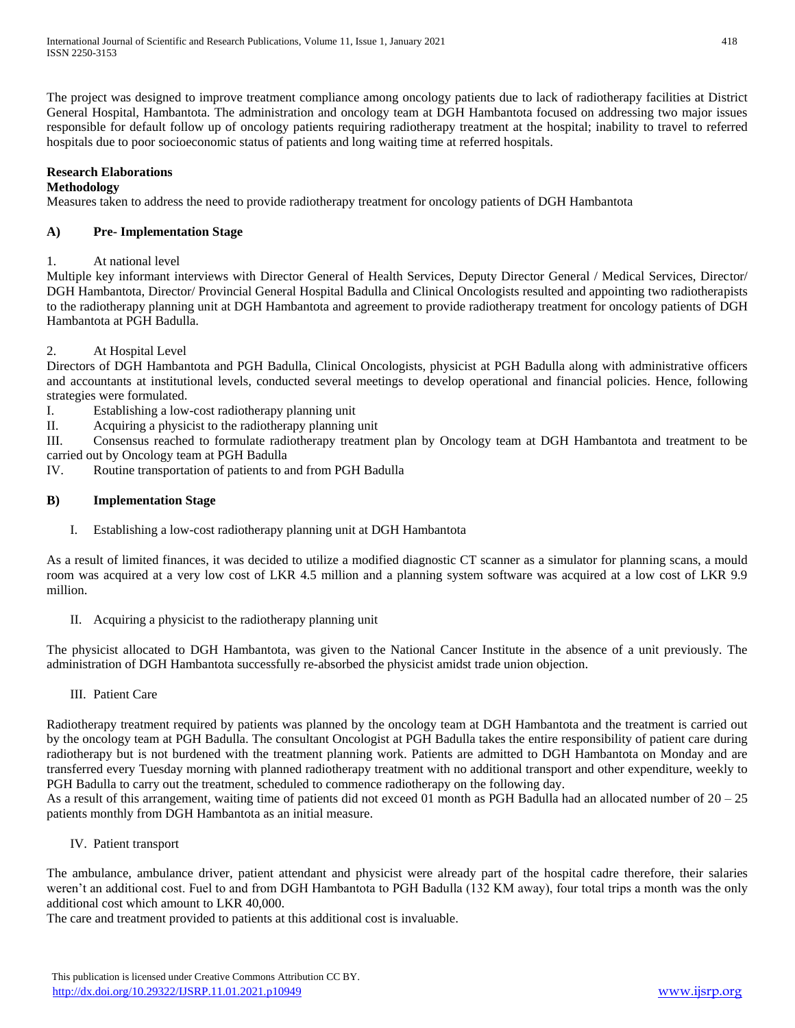The project was designed to improve treatment compliance among oncology patients due to lack of radiotherapy facilities at District General Hospital, Hambantota. The administration and oncology team at DGH Hambantota focused on addressing two major issues responsible for default follow up of oncology patients requiring radiotherapy treatment at the hospital; inability to travel to referred hospitals due to poor socioeconomic status of patients and long waiting time at referred hospitals.

# **Research Elaborations**

### **Methodology**

Measures taken to address the need to provide radiotherapy treatment for oncology patients of DGH Hambantota

# **A) Pre- Implementation Stage**

# 1. At national level

Multiple key informant interviews with Director General of Health Services, Deputy Director General / Medical Services, Director/ DGH Hambantota, Director/ Provincial General Hospital Badulla and Clinical Oncologists resulted and appointing two radiotherapists to the radiotherapy planning unit at DGH Hambantota and agreement to provide radiotherapy treatment for oncology patients of DGH Hambantota at PGH Badulla.

# 2. At Hospital Level

Directors of DGH Hambantota and PGH Badulla, Clinical Oncologists, physicist at PGH Badulla along with administrative officers and accountants at institutional levels, conducted several meetings to develop operational and financial policies. Hence, following strategies were formulated.

I. Establishing a low-cost radiotherapy planning unit

II. Acquiring a physicist to the radiotherapy planning unit

III. Consensus reached to formulate radiotherapy treatment plan by Oncology team at DGH Hambantota and treatment to be carried out by Oncology team at PGH Badulla

IV. Routine transportation of patients to and from PGH Badulla

# **B) Implementation Stage**

I. Establishing a low-cost radiotherapy planning unit at DGH Hambantota

As a result of limited finances, it was decided to utilize a modified diagnostic CT scanner as a simulator for planning scans, a mould room was acquired at a very low cost of LKR 4.5 million and a planning system software was acquired at a low cost of LKR 9.9 million.

II. Acquiring a physicist to the radiotherapy planning unit

The physicist allocated to DGH Hambantota, was given to the National Cancer Institute in the absence of a unit previously. The administration of DGH Hambantota successfully re-absorbed the physicist amidst trade union objection.

# III. Patient Care

Radiotherapy treatment required by patients was planned by the oncology team at DGH Hambantota and the treatment is carried out by the oncology team at PGH Badulla. The consultant Oncologist at PGH Badulla takes the entire responsibility of patient care during radiotherapy but is not burdened with the treatment planning work. Patients are admitted to DGH Hambantota on Monday and are transferred every Tuesday morning with planned radiotherapy treatment with no additional transport and other expenditure, weekly to PGH Badulla to carry out the treatment, scheduled to commence radiotherapy on the following day.

As a result of this arrangement, waiting time of patients did not exceed 01 month as PGH Badulla had an allocated number of  $20 - 25$ patients monthly from DGH Hambantota as an initial measure.

IV. Patient transport

The ambulance, ambulance driver, patient attendant and physicist were already part of the hospital cadre therefore, their salaries weren't an additional cost. Fuel to and from DGH Hambantota to PGH Badulla (132 KM away), four total trips a month was the only additional cost which amount to LKR 40,000.

The care and treatment provided to patients at this additional cost is invaluable.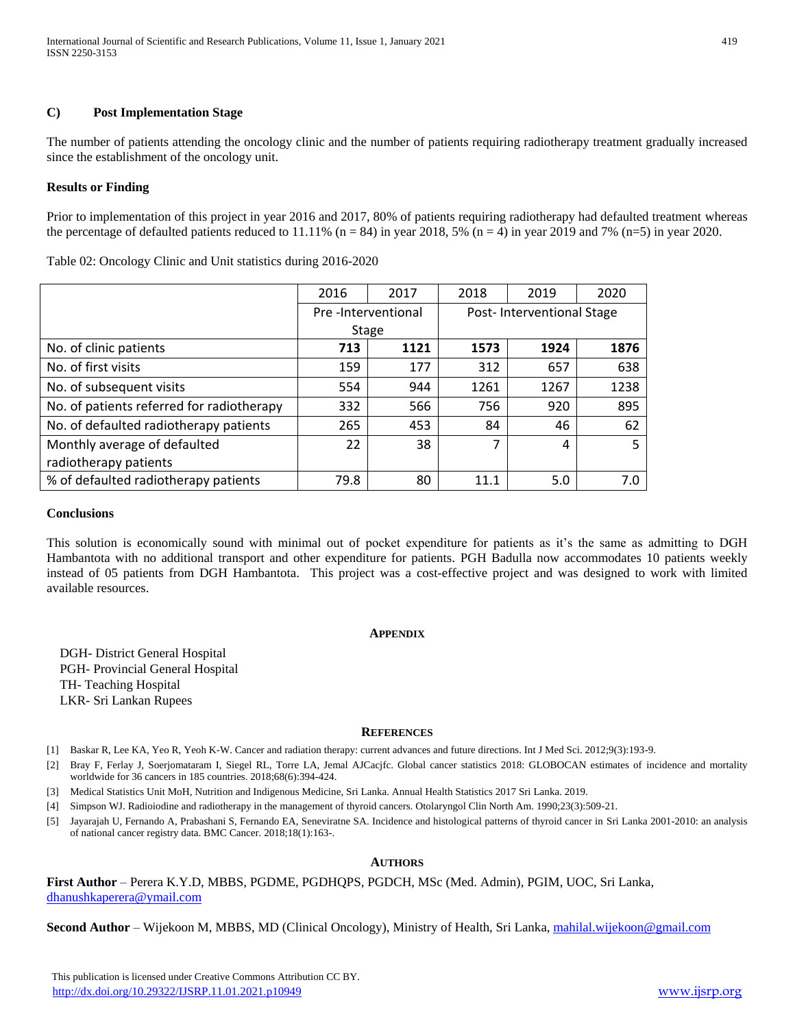#### **C) Post Implementation Stage**

The number of patients attending the oncology clinic and the number of patients requiring radiotherapy treatment gradually increased since the establishment of the oncology unit.

#### **Results or Finding**

Prior to implementation of this project in year 2016 and 2017, 80% of patients requiring radiotherapy had defaulted treatment whereas the percentage of defaulted patients reduced to 11.11% ( $n = 84$ ) in year 2018, 5% ( $n = 4$ ) in year 2019 and 7% ( $n = 5$ ) in year 2020.

Table 02: Oncology Clinic and Unit statistics during 2016-2020

|                                           | 2016               | 2017 | 2018                      | 2019 | 2020 |
|-------------------------------------------|--------------------|------|---------------------------|------|------|
|                                           | Pre-Interventional |      | Post-Interventional Stage |      |      |
|                                           | Stage              |      |                           |      |      |
| No. of clinic patients                    | 713                | 1121 | 1573                      | 1924 | 1876 |
| No. of first visits                       | 159                | 177  | 312                       | 657  | 638  |
| No. of subsequent visits                  | 554                | 944  | 1261                      | 1267 | 1238 |
| No. of patients referred for radiotherapy | 332                | 566  | 756                       | 920  | 895  |
| No. of defaulted radiotherapy patients    | 265                | 453  | 84                        | 46   | 62   |
| Monthly average of defaulted              | 22                 | 38   | $\overline{7}$            | 4    | 5    |
| radiotherapy patients                     |                    |      |                           |      |      |
| % of defaulted radiotherapy patients      | 79.8               | 80   | 11.1                      | 5.0  | 7.0  |

#### **Conclusions**

This solution is economically sound with minimal out of pocket expenditure for patients as it's the same as admitting to DGH Hambantota with no additional transport and other expenditure for patients. PGH Badulla now accommodates 10 patients weekly instead of 05 patients from DGH Hambantota. This project was a cost-effective project and was designed to work with limited available resources.

#### **APPENDIX**

DGH- District General Hospital PGH- Provincial General Hospital TH- Teaching Hospital LKR- Sri Lankan Rupees

#### **REFERENCES**

[1] Baskar R, Lee KA, Yeo R, Yeoh K-W. Cancer and radiation therapy: current advances and future directions. Int J Med Sci. 2012;9(3):193-9.

[2] Bray F, Ferlay J, Soerjomataram I, Siegel RL, Torre LA, Jemal AJCacjfc. Global cancer statistics 2018: GLOBOCAN estimates of incidence and mortality worldwide for 36 cancers in 185 countries. 2018;68(6):394-424.

[3] Medical Statistics Unit MoH, Nutrition and Indigenous Medicine, Sri Lanka. Annual Health Statistics 2017 Sri Lanka. 2019.

[4] Simpson WJ. Radioiodine and radiotherapy in the management of thyroid cancers. Otolaryngol Clin North Am. 1990;23(3):509-21.

[5] Jayarajah U, Fernando A, Prabashani S, Fernando EA, Seneviratne SA. Incidence and histological patterns of thyroid cancer in Sri Lanka 2001-2010: an analysis of national cancer registry data. BMC Cancer. 2018;18(1):163-.

#### **AUTHORS**

**First Author** – Perera K.Y.D, MBBS, PGDME, PGDHQPS, PGDCH, MSc (Med. Admin), PGIM, UOC, Sri Lanka, [dhanushkaperera@ymail.com](mailto:dhanushkaperera@ymail.com)

**Second Author** – Wijekoon M, MBBS, MD (Clinical Oncology), Ministry of Health, Sri Lanka, [mahilal.wijekoon@gmail.com](mailto:mahilal.wijekoon@gmail.com)